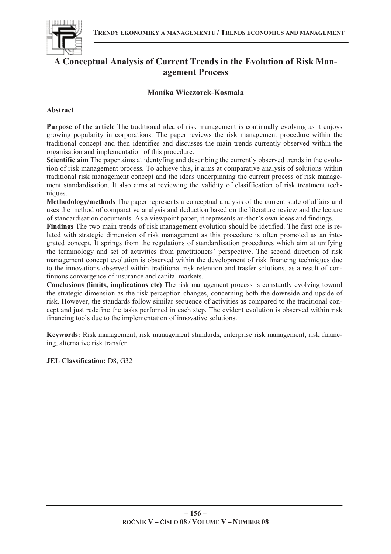

# **A Conceptual Analysis of Current Trends in the Evolution of Risk Management Process**

## **Monika Wieczorek-Kosmala**

## **Abstract**

**Purpose of the article** The traditional idea of risk management is continually evolving as it enjoys growing popularity in corporations. The paper reviews the risk management procedure within the traditional concept and then identifies and discusses the main trends currently observed within the organisation and implementation of this procedure.

**Scientific aim** The paper aims at identyfing and describing the currently observed trends in the evolution of risk management process. To achieve this, it aims at comparative analysis of solutions within traditional risk management concept and the ideas underpinning the current process of risk management standardisation. It also aims at reviewing the validity of clasiffication of risk treatment techniques.

**Methodology/methods** The paper represents a conceptual analysis of the current state of affairs and uses the method of comparative analysis and deduction based on the literature review and the lecture of standardisation documents. As a viewpoint paper, it represents au-thor's own ideas and findings.

**Findings** The two main trends of risk management evolution should be idetified. The first one is related with strategic dimension of risk management as this procedure is often promoted as an integrated concept. It springs from the regulations of standardisation procedures which aim at unifying the terminology and set of activities from practitioners' perspective. The second direction of risk management concept evolution is observed within the development of risk financing techniques due to the innovations observed within traditional risk retention and trasfer solutions, as a result of continuous convergence of insurance and capital markets.

**Conclusions (limits, implications etc)** The risk management process is constantly evolving toward the strategic dimension as the risk perception changes, concerning both the downside and upside of risk. However, the standards follow similar sequence of activities as compared to the traditional concept and just redefine the tasks perfomed in each step. The evident evolution is observed within risk financing tools due to the implementation of innovative solutions.

**Keywords:** Risk management, risk management standards, enterprise risk management, risk financing, alternative risk transfer

**JEL Classification:** D8, G32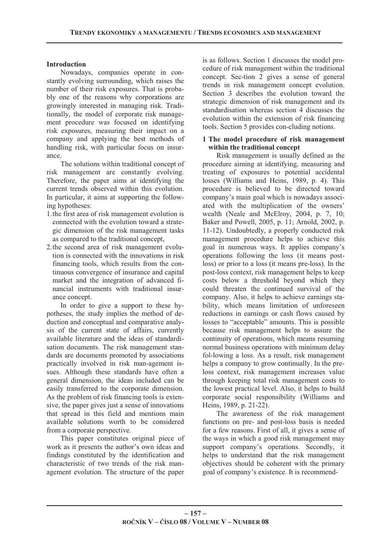## **Introduction**

Nowadays, companies operate in constantly evolving surrounding, which raises the number of their risk exposures. That is probably one of the reasons why corporations are growingly interested in managing risk. Traditionally, the model of corporate risk management procedure was focused on identifying risk exposures, measuring their impact on a company and applying the best methods of handling risk, with particular focus on insurance.

The solutions within traditional concept of risk management are constantly evolving. Therefore, the paper aims at identifying the current trends observed within this evolution. In particular, it aims at supporting the following hypotheses:

- 1.the first area of risk management evolution is connected with the evolution toward a strategic dimension of the risk management tasks as compared to the traditional concept,
- 2.the second area of risk management evolution is connected with the innovations in risk financing tools, which results from the continuous convergence of insurance and capital market and the integration of advanced financial instruments with traditional insurance concept.

In order to give a support to these hypotheses, the study implies the method of deduction and conceptual and comparative analysis of the current state of affairs, currently available literature and the ideas of standardisation documents. The risk management standards are documents promoted by associations practically involved in risk man-agement issues. Although these standards have often a general dimension, the ideas included can be easily transferred to the corporate dimension. As the problem of risk financing tools is extensive, the paper gives just a sense of innovations that spread in this field and mentions main available solutions worth to be considered from a corporate perspective.

This paper constitutes original piece of work as it presents the author's own ideas and findings constituted by the identification and characteristic of two trends of the risk management evolution. The structure of the paper

is as follows. Section 1 discusses the model procedure of risk management within the traditional concept. Sec-tion 2 gives a sense of general trends in risk management concept evolution. Section 3 describes the evolution toward the strategic dimension of risk management and its standardisation whereas section 4 discusses the evolution within the extension of risk financing tools. Section 5 provides con-cluding notions.

## **1 The model procedure of risk management within the traditional concept**

Risk management is usually defined as the procedure aiming at identifying, measuring and treating of exposures to potential accidental losses (Williams and Heins, 1989, p. 4). This procedure is believed to be directed toward company's main goal which is nowadays associated with the multiplication of the owners' wealth (Neale and McElroy, 2004, p. 7, 10; Baker and Powell, 2005, p. 11; Arnold, 2002, p. 11-12). Undoubtedly, a properly conducted risk management procedure helps to achieve this goal in numerous ways. It applies company's operations following the loss (it means postloss) or prior to a loss (it means pre-loss). In the post-loss context, risk management helps to keep costs below a threshold beyond which they could threaten the continued survival of the company. Also, it helps to achieve earnings stability, which means limitation of unforeseen reductions in earnings or cash flows caused by losses to "acceptable" amounts. This is possible because risk management helps to assure the continuity of operations, which means resuming normal business operations with minimum delay fol-lowing a loss. As a result, risk management helps a company to grow continually. In the preloss context, risk management increases value through keeping total risk management costs to the lowest practical level. Also, it helps to build corporate social responsibility (Williams and Heins, 1989, p. 21-22).

The awareness of the risk management functions on pre- and post-loss basis is needed for a few reasons. First of all, it gives a sense of the ways in which a good risk management may support company's operations. Secondly, it helps to understand that the risk management objectives should be coherent with the primary goal of company's existence. It is recommend-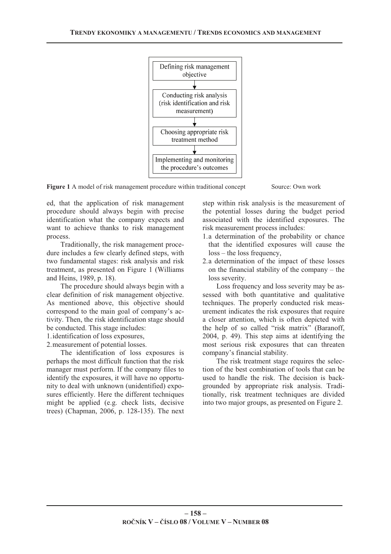

Figure 1 A model of risk management procedure within traditional concept Source: Own work

ed, that the application of risk management procedure should always begin with precise identification what the company expects and want to achieve thanks to risk management process.

Traditionally, the risk management procedure includes a few clearly defined steps, with two fundamental stages: risk analysis and risk treatment, as presented on Figure 1 (Williams and Heins, 1989, p. 18).

The procedure should always begin with a clear definition of risk management objective. As mentioned above, this objective should correspond to the main goal of company's activity. Then, the risk identification stage should be conducted. This stage includes:

- 1.identification of loss exposures,
- 2.measurement of potential losses.

The identification of loss exposures is perhaps the most difficult function that the risk manager must perform. If the company files to identify the exposures, it will have no opportunity to deal with unknown (unidentified) exposures efficiently. Here the different techniques might be applied (e.g. check lists, decisive trees) (Chapman, 2006, p. 128-135). The next step within risk analysis is the measurement of the potential losses during the budget period associated with the identified exposures. The risk measurement process includes:

- 1.a determination of the probability or chance that the identified exposures will cause the loss – the loss frequency,
- 2.a determination of the impact of these losses on the financial stability of the company – the loss severity.

Loss frequency and loss severity may be assessed with both quantitative and qualitative techniques. The properly conducted risk measurement indicates the risk exposures that require a closer attention, which is often depicted with the help of so called "risk matrix" (Baranoff, 2004, p. 49). This step aims at identifying the most serious risk exposures that can threaten company's financial stability.

The risk treatment stage requires the selection of the best combination of tools that can be used to handle the risk. The decision is backgrounded by appropriate risk analysis. Traditionally, risk treatment techniques are divided into two major groups, as presented on Figure 2.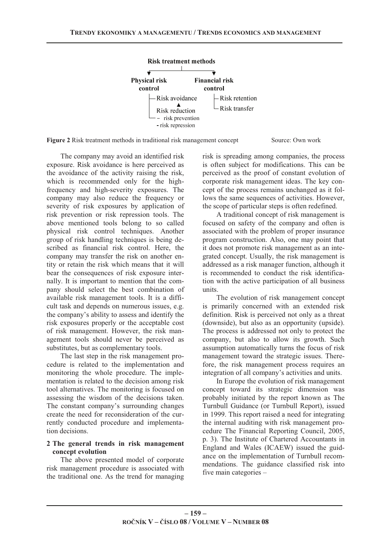

**Figure 2** Risk treatment methods in traditional risk management concept Source: Own work

The company may avoid an identified risk exposure. Risk avoidance is here perceived as the avoidance of the activity raising the risk, which is recommended only for the highfrequency and high-severity exposures. The company may also reduce the frequency or severity of risk exposures by application of risk prevention or risk repression tools. The above mentioned tools belong to so called physical risk control techniques. Another group of risk handling techniques is being described as financial risk control. Here, the company may transfer the risk on another entity or retain the risk which means that it will bear the consequences of risk exposure internally. It is important to mention that the company should select the best combination of available risk management tools. It is a difficult task and depends on numerous issues, e.g. the company's ability to assess and identify the risk exposures properly or the acceptable cost of risk management. However, the risk management tools should never be perceived as substitutes, but as complementary tools.

The last step in the risk management procedure is related to the implementation and monitoring the whole procedure. The implementation is related to the decision among risk tool alternatives. The monitoring is focused on assessing the wisdom of the decisions taken. The constant company's surrounding changes create the need for reconsideration of the currently conducted procedure and implementation decisions.

## **2 The general trends in risk management concept evolution**

The above presented model of corporate risk management procedure is associated with the traditional one. As the trend for managing risk is spreading among companies, the process is often subject for modifications. This can be perceived as the proof of constant evolution of corporate risk management ideas. The key concept of the process remains unchanged as it follows the same sequences of activities. However, the scope of particular steps is often redefined.

A traditional concept of risk management is focused on safety of the company and often is associated with the problem of proper insurance program construction. Also, one may point that it does not promote risk management as an integrated concept. Usually, the risk management is addressed as a risk manager function, although it is recommended to conduct the risk identification with the active participation of all business units.

The evolution of risk management concept is primarily concerned with an extended risk definition. Risk is perceived not only as a threat (downside), but also as an opportunity (upside). The process is addressed not only to protect the company, but also to allow its growth. Such assumption automatically turns the focus of risk management toward the strategic issues. Therefore, the risk management process requires an integration of all company's activities and units.

In Europe the evolution of risk management concept toward its strategic dimension was probably initiated by the report known as The Turnbull Guidance (or Turnbull Report), issued in 1999. This report raised a need for integrating the internal auditing with risk management procedure The Financial Reporting Council, 2005, p. 3). The Institute of Chartered Accountants in England and Wales (ICAEW) issued the guidance on the implementation of Turnbull recommendations. The guidance classified risk into five main categories –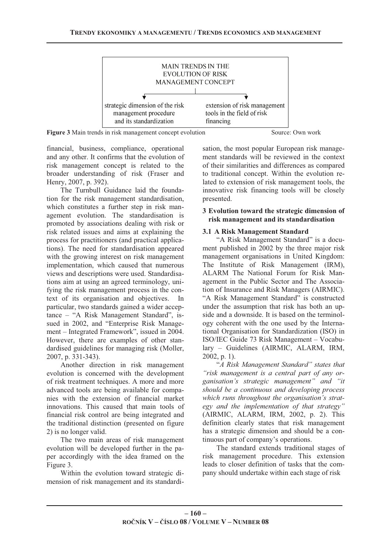

**Figure 3** Main trends in risk management concept evolution Source: Own work

financial, business, compliance, operational and any other. It confirms that the evolution of risk management concept is related to the broader understanding of risk (Fraser and Henry, 2007, p. 392).

The Turnbull Guidance laid the foundation for the risk management standardisation, which constitutes a further step in risk management evolution. The standardisation is promoted by associations dealing with risk or risk related issues and aims at explaining the process for practitioners (and practical applications). The need for standardisation appeared with the growing interest on risk management implementation, which caused that numerous views and descriptions were used. Standardisations aim at using an agreed terminology, unifying the risk management process in the context of its organisation and objectives. In particular, two standards gained a wider acceptance – "A Risk Management Standard", issued in 2002, and "Enterprise Risk Management – Integrated Framework", issued in 2004. However, there are examples of other standardised guidelines for managing risk (Moller, 2007, p. 331-343).

Another direction in risk management evolution is concerned with the development of risk treatment techniques. A more and more advanced tools are being available for companies with the extension of financial market innovations. This caused that main tools of financial risk control are being integrated and the traditional distinction (presented on figure 2) is no longer valid.

The two main areas of risk management evolution will be developed further in the paper accordingly with the idea framed on the Figure 3.

Within the evolution toward strategic dimension of risk management and its standardi-

sation, the most popular European risk management standards will be reviewed in the context of their similarities and differences as compared to traditional concept. Within the evolution related to extension of risk management tools, the innovative risk financing tools will be closely presented.

## **3 Evolution toward the strategic dimension of risk management and its standardisation**

## **3.1 A Risk Management Standard**

"A Risk Management Standard" is a document published in 2002 by the three major risk management organisations in United Kingdom: The Institute of Risk Management (IRM), ALARM The National Forum for Risk Management in the Public Sector and The Association of Insurance and Risk Managers (AIRMIC). "A Risk Management Standard" is constructed under the assumption that risk has both an upside and a downside. It is based on the terminology coherent with the one used by the International Organisation for Standardization (ISO) in ISO/IEC Guide 73 Risk Management – Vocabulary – Guidelines (AIRMIC, ALARM, IRM, 2002, p. 1).

"*A Risk Management Standard" states that "risk management is a central part of any organisation's strategic management" and "it should be a continuous and developing process which runs throughout the organisation's strategy and the implementation of that strategy"* (AIRMIC, ALARM, IRM, 2002, p. 2). This definition clearly states that risk management has a strategic dimension and should be a continuous part of company's operations.

The standard extends traditional stages of risk management procedure. This extension leads to closer definition of tasks that the company should undertake within each stage of risk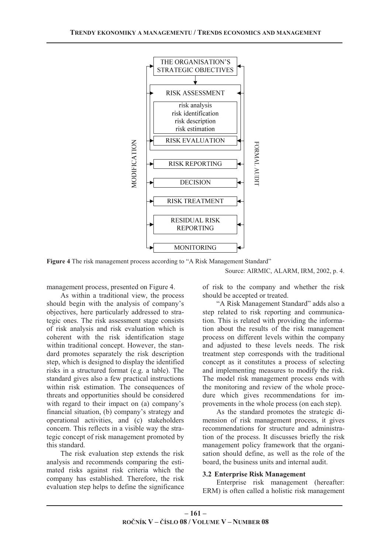

**Figure 4** The risk management process according to "A Risk Management Standard"

#### Source: AIRMIC, ALARM, IRM, 2002, p. 4.

management process, presented on Figure 4.

As within a traditional view, the process should begin with the analysis of company's objectives, here particularly addressed to strategic ones. The risk assessment stage consists of risk analysis and risk evaluation which is coherent with the risk identification stage within traditional concept. However, the standard promotes separately the risk description step, which is designed to display the identified risks in a structured format (e.g. a table). The standard gives also a few practical instructions within risk estimation. The consequences of threats and opportunities should be considered with regard to their impact on (a) company's financial situation, (b) company's strategy and operational activities, and (c) stakeholders concern. This reflects in a visible way the strategic concept of risk management promoted by this standard.

The risk evaluation step extends the risk analysis and recommends comparing the estimated risks against risk criteria which the company has established. Therefore, the risk evaluation step helps to define the significance of risk to the company and whether the risk should be accepted or treated.

"A Risk Management Standard" adds also a step related to risk reporting and communication. This is related with providing the information about the results of the risk management process on different levels within the company and adjusted to these levels needs. The risk treatment step corresponds with the traditional concept as it constitutes a process of selecting and implementing measures to modify the risk. The model risk management process ends with the monitoring and review of the whole procedure which gives recommendations for improvements in the whole process (on each step).

As the standard promotes the strategic dimension of risk management process, it gives recommendations for structure and administration of the process. It discusses briefly the risk management policy framework that the organisation should define, as well as the role of the board, the business units and internal audit.

#### **3.2 Enterprise Risk Management**

Enterprise risk management (hereafter: ERM) is often called a holistic risk management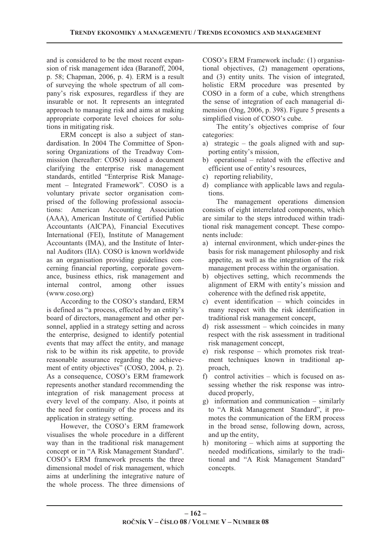and is considered to be the most recent expansion of risk management idea (Baranoff, 2004, p. 58; Chapman, 2006, p. 4). ERM is a result of surveying the whole spectrum of all company's risk exposures, regardless if they are insurable or not. It represents an integrated approach to managing risk and aims at making appropriate corporate level choices for solutions in mitigating risk.

ERM concept is also a subject of standardisation. In 2004 The Committee of Sponsoring Organizations of the Treadway Commission (hereafter: COSO) issued a document clarifying the enterprise risk management standards, entitled "Enterprise Risk Management – Integrated Framework". COSO is a voluntary private sector organisation comprised of the following professional associations: American Accounting Association (AAA), American Institute of Certified Public Accountants (AICPA), Financial Executives International (FEI), Institute of Management Accountants (IMA), and the Institute of Internal Auditors (IIA). COSO is known worldwide as an organisation providing guidelines concerning financial reporting, corporate governance, business ethics, risk management and internal control, among other issues (www.coso.org)

According to the COSO's standard, ERM is defined as "a process, effected by an entity's board of directors, management and other personnel, applied in a strategy setting and across the enterprise, designed to identify potential events that may affect the entity, and manage risk to be within its risk appetite, to provide reasonable assurance regarding the achievement of entity objectives" (COSO, 2004, p. 2). As a consequence, COSO's ERM framework represents another standard recommending the integration of risk management process at every level of the company. Also, it points at the need for continuity of the process and its application in strategy setting.

However, the COSO's ERM framework visualises the whole procedure in a different way than in the traditional risk management concept or in "A Risk Management Standard". COSO's ERM framework presents the three dimensional model of risk management, which aims at underlining the integrative nature of the whole process. The three dimensions of COSO's ERM Framework include: (1) organisational objectives, (2) management operations, and (3) entity units. The vision of integrated, holistic ERM procedure was presented by COSO in a form of a cube, which strengthens the sense of integration of each managerial dimension (Ong, 2006, p. 398). Figure 5 presents a simplified vision of COSO's cube.

The entity's objectives comprise of four categories:

- a) strategic the goals aligned with and supporting entity's mission,
- b) operational related with the effective and efficient use of entity's resources,
- c) reporting reliability,
- d) compliance with applicable laws and regulations.

The management operations dimension consists of eight interrelated components, which are similar to the steps introduced within traditional risk management concept. These components include:

- a) internal environment, which under-pines the basis for risk management philosophy and risk appetite, as well as the integration of the risk management process within the organisation.
- b) objectives setting, which recommends the alignment of ERM with entity's mission and coherence with the defined risk appetite,
- c) event identification which coincides in many respect with the risk identification in traditional risk management concept,
- d) risk assessment which coincides in many respect with the risk assessment in traditional risk management concept,
- e) risk response which promotes risk treatment techniques known in traditional approach,
- f) control activities which is focused on assessing whether the risk response was introduced properly,
- g) information and communication similarly to "A Risk Management Standard", it promotes the communication of the ERM process in the broad sense, following down, across, and up the entity,
- h) monitoring which aims at supporting the needed modifications, similarly to the traditional and "A Risk Management Standard" concepts.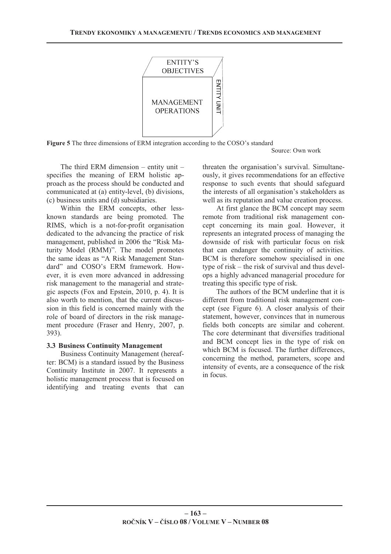

**Figure 5** The three dimensions of ERM integration according to the COSO's standard

Source: Own work

The third ERM dimension – entity unit – specifies the meaning of ERM holistic approach as the process should be conducted and communicated at (a) entity-level, (b) divisions, (c) business units and (d) subsidiaries.

Within the ERM concepts, other lessknown standards are being promoted. The RIMS, which is a not-for-profit organisation dedicated to the advancing the practice of risk management, published in 2006 the "Risk Maturity Model (RMM)". The model promotes the same ideas as "A Risk Management Standard" and COSO's ERM framework. However, it is even more advanced in addressing risk management to the managerial and strategic aspects (Fox and Epstein, 2010, p. 4). It is also worth to mention, that the current discussion in this field is concerned mainly with the role of board of directors in the risk management procedure (Fraser and Henry, 2007, p. 393).

#### **3.3 Business Continuity Management**

Business Continuity Management (hereafter: BCM) is a standard issued by the Business Continuity Institute in 2007. It represents a holistic management process that is focused on identifying and treating events that can threaten the organisation's survival. Simultaneously, it gives recommendations for an effective response to such events that should safeguard the interests of all organisation's stakeholders as well as its reputation and value creation process.

At first glance the BCM concept may seem remote from traditional risk management concept concerning its main goal. However, it represents an integrated process of managing the downside of risk with particular focus on risk that can endanger the continuity of activities. BCM is therefore somehow specialised in one type of risk – the risk of survival and thus develops a highly advanced managerial procedure for treating this specific type of risk.

The authors of the BCM underline that it is different from traditional risk management concept (see Figure 6). A closer analysis of their statement, however, convinces that in numerous fields both concepts are similar and coherent. The core determinant that diversifies traditional and BCM concept lies in the type of risk on which BCM is focused. The further differences, concerning the method, parameters, scope and intensity of events, are a consequence of the risk in focus.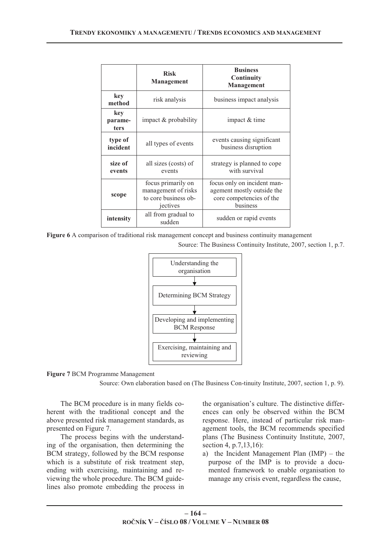|                               | <b>Risk</b><br>Management                                                     | <b>Business</b><br>Continuity<br>Management                                                       |
|-------------------------------|-------------------------------------------------------------------------------|---------------------------------------------------------------------------------------------------|
| key<br>method                 | risk analysis                                                                 | business impact analysis                                                                          |
| key<br>parame-<br><b>ters</b> | impact & probability                                                          | impact & time                                                                                     |
| type of<br>incident           | all types of events                                                           | events causing significant<br>business disruption                                                 |
| size of<br>events             | all sizes (costs) of<br>events                                                | strategy is planned to cope<br>with survival                                                      |
| scope                         | focus primarily on<br>management of risks<br>to core business ob-<br>jectives | focus only on incident man-<br>agement mostly outside the<br>core competencies of the<br>business |
| intensity                     | all from gradual to<br>sudden                                                 | sudden or rapid events                                                                            |

**Figure 6** A comparison of traditional risk management concept and business continuity management

Source: The Business Continuity Institute, 2007, section 1, p.7.





Source: Own elaboration based on (The Business Con-tinuity Institute, 2007, section 1, p. 9).

The BCM procedure is in many fields coherent with the traditional concept and the above presented risk management standards, as presented on Figure 7.

The process begins with the understanding of the organisation, then determining the BCM strategy, followed by the BCM response which is a substitute of risk treatment step, ending with exercising, maintaining and reviewing the whole procedure. The BCM guidelines also promote embedding the process in

the organisation's culture. The distinctive differences can only be observed within the BCM response. Here, instead of particular risk management tools, the BCM recommends specified plans (The Business Continuity Institute, 2007, section 4, p.7,13,16):

a) the Incident Management Plan (IMP) – the purpose of the IMP is to provide a documented framework to enable organisation to manage any crisis event, regardless the cause,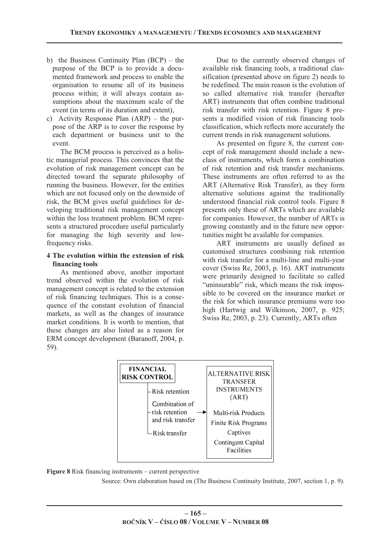- b) the Business Continuity Plan (BCP) the purpose of the BCP is to provide a documented framework and process to enable the organisation to resume all of its business process within; it will always contain assumptions about the maximum scale of the event (in terms of its duration and extent),
- c) Activity Response Plan (ARP) the purpose of the ARP is to cover the response by each department or business unit to the event.

The BCM process is perceived as a holistic managerial process. This convinces that the evolution of risk management concept can be directed toward the separate philosophy of running the business. However, for the entities which are not focused only on the downside of risk, the BCM gives useful guidelines for developing traditional risk management concept within the loss treatment problem. BCM represents a structured procedure useful particularly for managing the high severity and lowfrequency risks.

## **4 The evolution within the extension of risk financing tools**

As mentioned above, another important trend observed within the evolution of risk management concept is related to the extension of risk financing techniques. This is a consequence of the constant evolution of financial markets, as well as the changes of insurance market conditions. It is worth to mention, that these changes are also listed as a reason for ERM concept development (Baranoff, 2004, p. 59).

Due to the currently observed changes of available risk financing tools, a traditional classification (presented above on figure 2) needs to be redefined. The main reason is the evolution of so called alternative risk transfer (hereafter ART) instruments that often combine traditional risk transfer with risk retention. Figure 8 presents a modified vision of risk financing tools classification, which reflects more accurately the current trends in risk management solutions.

As presented on figure 8, the current concept of risk management should include a newclass of instruments, which form a combination of risk retention and risk transfer mechanisms. These instruments are often referred to as the ART (Alternative Risk Transfer), as they form alternative solutions against the traditionally understood financial risk control tools. Figure 8 presents only these of ARTs which are available for companies. However, the number of ARTs is growing constantly and in the future new opportunities might be available for companies.

ART instruments are usually defined as customised structures combining risk retention with risk transfer for a multi-line and multi-year cover (Swiss Re, 2003, p. 16). ART instruments were primarily designed to facilitate so called "uninsurable" risk, which means the risk impossible to be covered on the insurance market or the risk for which insurance premiums were too high (Hartwig and Wilkinson, 2007, p. 925; Swiss Re, 2003, p. 23). Currently, ARTs often



**Figure 8** Risk financing instruments – current perspective

Source: Own elaboration based on (The Business Continuity Institute, 2007, section 1, p. 9).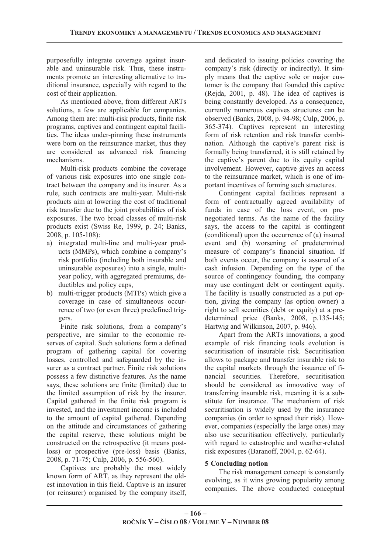purposefully integrate coverage against insurable and uninsurable risk. Thus, these instruments promote an interesting alternative to traditional insurance, especially with regard to the cost of their application.

As mentioned above, from different ARTs solutions, a few are applicable for companies. Among them are: multi-risk products, finite risk programs, captives and contingent capital facilities. The ideas under-pinning these instruments were born on the reinsurance market, thus they are considered as advanced risk financing mechanisms.

Multi-risk products combine the coverage of various risk exposures into one single contract between the company and its insurer. As a rule, such contracts are multi-year. Multi-risk products aim at lowering the cost of traditional risk transfer due to the joint probabilities of risk exposures. The two broad classes of multi-risk products exist (Swiss Re, 1999, p. 24; Banks, 2008, p. 105-108):

- a) integrated multi-line and multi-year products (MMPs), which combine a company's risk portfolio (including both insurable and uninsurable exposures) into a single, multiyear policy, with aggregated premiums, deductibles and policy caps,
- b) multi-trigger products (MTPs) which give a coverage in case of simultaneous occurrence of two (or even three) predefined triggers.

Finite risk solutions, from a company's perspective, are similar to the economic reserves of capital. Such solutions form a defined program of gathering capital for covering losses, controlled and safeguarded by the insurer as a contract partner. Finite risk solutions possess a few distinctive features. As the name says, these solutions are finite (limited) due to the limited assumption of risk by the insurer. Capital gathered in the finite risk program is invested, and the investment income is included to the amount of capital gathered. Depending on the attitude and circumstances of gathering the capital reserve, these solutions might be constructed on the retrospective (it means postloss) or prospective (pre-loss) basis (Banks, 2008, p. 71-75; Culp, 2006, p. 556-560).

Captives are probably the most widely known form of ART, as they represent the oldest innovation in this field. Captive is an insurer (or reinsurer) organised by the company itself, and dedicated to issuing policies covering the company's risk (directly or indirectly). It simply means that the captive sole or major customer is the company that founded this captive (Rejda, 2001, p. 48). The idea of captives is being constantly developed. As a consequence, currently numerous captives structures can be observed (Banks, 2008, p. 94-98; Culp, 2006, p. 365-374). Captives represent an interesting form of risk retention and risk transfer combination. Although the captive's parent risk is formally being transferred, it is still retained by the captive's parent due to its equity capital involvement. However, captive gives an access to the reinsurance market, which is one of important incentives of forming such structures.

Contingent capital facilities represent a form of contractually agreed availability of funds in case of the loss event, on prenegotiated terms. As the name of the facility says, the access to the capital is contingent (conditional) upon the occurrence of (a) insured event and (b) worsening of predetermined measure of company's financial situation. If both events occur, the company is assured of a cash infusion. Depending on the type of the source of contingency founding, the company may use contingent debt or contingent equity. The facility is usually constructed as a put option, giving the company (as option owner) a right to sell securities (debt or equity) at a predetermined price (Banks, 2008, p.135-145; Hartwig and Wilkinson, 2007, p. 946).

Apart from the ARTs innovations, a good example of risk financing tools evolution is securitisation of insurable risk. Securitisation allows to package and transfer insurable risk to the capital markets through the issuance of financial securities. Therefore, securitisation should be considered as innovative way of transferring insurable risk, meaning it is a substitute for insurance. The mechanism of risk securitisation is widely used by the insurance companies (in order to spread their risk). However, companies (especially the large ones) may also use securitisation effectively, particularly with regard to catastrophic and weather-related risk exposures (Baranoff, 2004, p. 62-64).

## **5 Concluding notion**

The risk management concept is constantly evolving, as it wins growing popularity among companies. The above conducted conceptual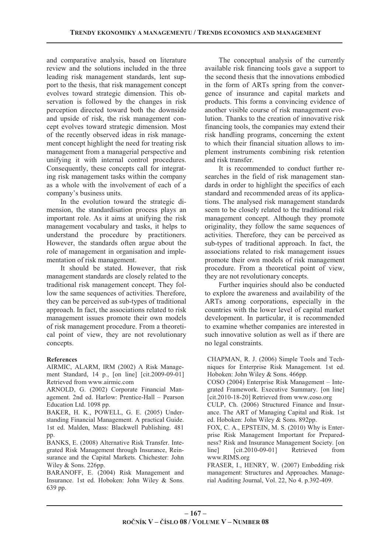and comparative analysis, based on literature review and the solutions included in the three leading risk management standards, lent support to the thesis, that risk management concept evolves toward strategic dimension. This observation is followed by the changes in risk perception directed toward both the downside and upside of risk, the risk management concept evolves toward strategic dimension. Most of the recently observed ideas in risk management concept highlight the need for treating risk management from a managerial perspective and unifying it with internal control procedures. Consequently, these concepts call for integrating risk management tasks within the company as a whole with the involvement of each of a company's business units.

In the evolution toward the strategic dimension, the standardisation process plays an important role. As it aims at unifying the risk management vocabulary and tasks, it helps to understand the procedure by practitioners. However, the standards often argue about the role of management in organisation and implementation of risk management.

It should be stated. However, that risk management standards are closely related to the traditional risk management concept. They follow the same sequences of activities. Therefore, they can be perceived as sub-types of traditional approach. In fact, the associations related to risk management issues promote their own models of risk management procedure. From a theoretical point of view, they are not revolutionary concepts.

## **References**

AIRMIC, ALARM, IRM (2002) A Risk Management Standard, 14 p., [on line] [cit.2009-09-01] Retrieved from www.airmic.com

ARNOLD, G. (2002) Corporate Financial Management. 2nd ed. Harlow: Prentice-Hall – Pearson Education Ltd. 1098 pp.

BAKER, H. K., POWELL, G. E. (2005) Understanding Financial Management. A practical Guide. 1st ed. Malden, Mass: Blackwell Publishing. 481 pp.

BANKS, E. (2008) Alternative Risk Transfer. Integrated Risk Management through Insurance, Reinsurance and the Capital Markets. Chichester: John Wiley & Sons. 226pp.

BARANOFF, E. (2004) Risk Management and Insurance. 1st ed. Hoboken: John Wiley & Sons. 639 pp.

The conceptual analysis of the currently available risk financing tools gave a support to the second thesis that the innovations embodied in the form of ARTs spring from the convergence of insurance and capital markets and products. This forms a convincing evidence of another visible course of risk management evolution. Thanks to the creation of innovative risk financing tools, the companies may extend their risk handling programs, concerning the extent to which their financial situation allows to implement instruments combining risk retention and risk transfer.

It is recommended to conduct further researches in the field of risk management standards in order to highlight the specifics of each standard and recommended areas of its applications. The analysed risk management standards seem to be closely related to the traditional risk management concept. Although they promote originality, they follow the same sequences of activities. Therefore, they can be perceived as sub-types of traditional approach. In fact, the associations related to risk management issues promote their own models of risk management procedure. From a theoretical point of view, they are not revolutionary concepts.

Further inquiries should also be conducted to explore the awareness and availability of the ARTs among corporations, especially in the countries with the lower level of capital market development. In particular, it is recommended to examine whether companies are interested in such innovative solution as well as if there are no legal constraints.

CHAPMAN, R. J. (2006) Simple Tools and Techniques for Enterprise Risk Management. 1st ed. Hoboken: John Wiley & Sons. 466pp.

COSO (2004) Enterprise Risk Management – Integrated Framework. Executive Summary. [on line] [cit.2010-18-20] Retrieved from www.coso.org

CULP, Ch. (2006) Structured Finance and Insurance. The ART of Managing Capital and Risk. 1st ed. Hoboken: John Wiley & Sons. 892pp.

FOX, C. A., EPSTEIN, M. S. (2010) Why is Enterprise Risk Management Important for Preparedness? Risk and Insurance Management Society. [on line] [cit.2010-09-01] Retrieved from www.RIMS.org

FRASER, I., HENRY, W. (2007) Embedding risk management: Structures and Approaches. Managerial Auditing Journal, Vol. 22, No 4. p.392-409.